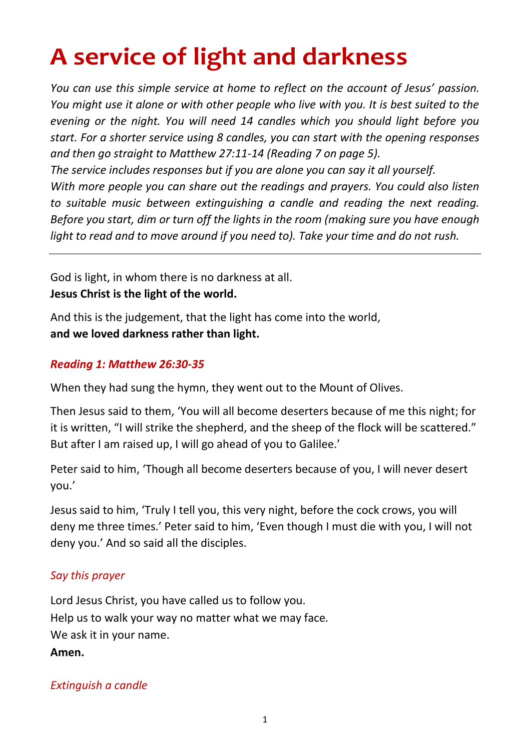# **A service of light and darkness**

*You can use this simple service at home to reflect on the account of Jesus' passion. You might use it alone or with other people who live with you. It is best suited to the evening or the night. You will need 14 candles which you should light before you start. For a shorter service using 8 candles, you can start with the opening responses and then go straight to Matthew 27:11-14 (Reading 7 on page 5).* 

*The service includes responses but if you are alone you can say it all yourself. With more people you can share out the readings and prayers. You could also listen to suitable music between extinguishing a candle and reading the next reading. Before you start, dim or turn off the lights in the room (making sure you have enough light to read and to move around if you need to). Take your time and do not rush.*

God is light, in whom there is no darkness at all. **Jesus Christ is the light of the world.**

And this is the judgement, that the light has come into the world, **and we loved darkness rather than light.**

# *Reading 1: Matthew 26:30-35*

When they had sung the hymn, they went out to the Mount of Olives.

Then Jesus said to them, 'You will all become deserters because of me this night; for it is written, "I will strike the shepherd, and the sheep of the flock will be scattered." But after I am raised up, I will go ahead of you to Galilee.'

Peter said to him, 'Though all become deserters because of you, I will never desert you.'

Jesus said to him, 'Truly I tell you, this very night, before the cock crows, you will deny me three times.' Peter said to him, 'Even though I must die with you, I will not deny you.' And so said all the disciples.

# *Say this prayer*

Lord Jesus Christ, you have called us to follow you. Help us to walk your way no matter what we may face. We ask it in your name.

**Amen.**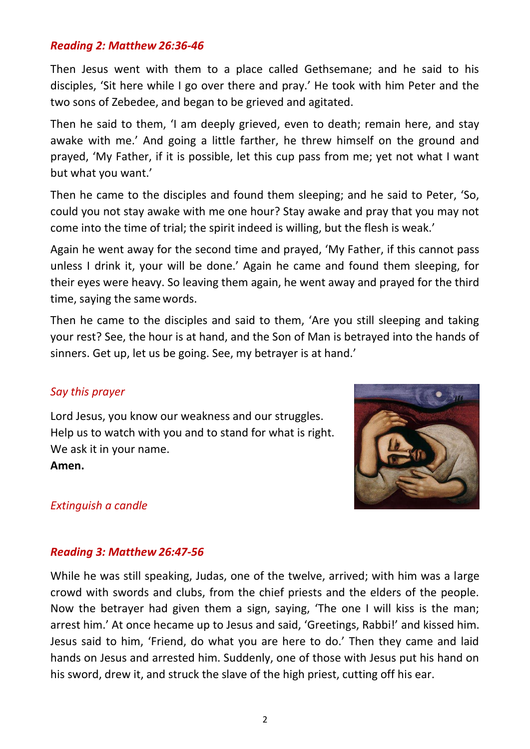## *Reading 2: Matthew 26:36-46*

Then Jesus went with them to a place called Gethsemane; and he said to his disciples, 'Sit here while I go over there and pray.' He took with him Peter and the two sons of Zebedee, and began to be grieved and agitated.

Then he said to them, 'I am deeply grieved, even to death; remain here, and stay awake with me.' And going a little farther, he threw himself on the ground and prayed, 'My Father, if it is possible, let this cup pass from me; yet not what I want but what you want.'

Then he came to the disciples and found them sleeping; and he said to Peter, 'So, could you not stay awake with me one hour? Stay awake and pray that you may not come into the time of trial; the spirit indeed is willing, but the flesh is weak.'

Again he went away for the second time and prayed, 'My Father, if this cannot pass unless I drink it, your will be done.' Again he came and found them sleeping, for their eyes were heavy. So leaving them again, he went away and prayed for the third time, saying the same words.

Then he came to the disciples and said to them, 'Are you still sleeping and taking your rest? See, the hour is at hand, and the Son of Man is betrayed into the hands of sinners. Get up, let us be going. See, my betrayer is at hand.'

#### *Say this prayer*

Lord Jesus, you know our weakness and our struggles. Help us to watch with you and to stand for what is right. We ask it in your name.

**Amen.**



#### *Extinguish a candle*

#### *Reading 3: Matthew 26:47-56*

While he was still speaking, Judas, one of the twelve, arrived; with him was a large crowd with swords and clubs, from the chief priests and the elders of the people. Now the betrayer had given them a sign, saying, 'The one I will kiss is the man; arrest him.' At once hecame up to Jesus and said, 'Greetings, Rabbi!' and kissed him. Jesus said to him, 'Friend, do what you are here to do.' Then they came and laid hands on Jesus and arrested him. Suddenly, one of those with Jesus put his hand on his sword, drew it, and struck the slave of the high priest, cutting off his ear.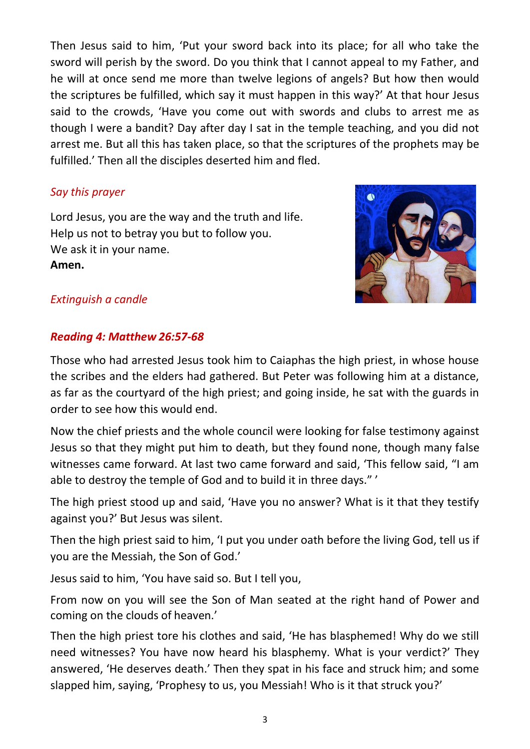Then Jesus said to him, 'Put your sword back into its place; for all who take the sword will perish by the sword. Do you think that I cannot appeal to my Father, and he will at once send me more than twelve legions of angels? But how then would the scriptures be fulfilled, which say it must happen in this way?' At that hour Jesus said to the crowds, 'Have you come out with swords and clubs to arrest me as though I were a bandit? Day after day I sat in the temple teaching, and you did not arrest me. But all this has taken place, so that the scriptures of the prophets may be fulfilled.' Then all the disciples deserted him and fled.

## *Say this prayer*

Lord Jesus, you are the way and the truth and life. Help us not to betray you but to follow you. We ask it in your name. **Amen.**



## *Extinguish a candle*

## *Reading 4: Matthew 26:57-68*

Those who had arrested Jesus took him to Caiaphas the high priest, in whose house the scribes and the elders had gathered. But Peter was following him at a distance, as far as the courtyard of the high priest; and going inside, he sat with the guards in order to see how this would end.

Now the chief priests and the whole council were looking for false testimony against Jesus so that they might put him to death, but they found none, though many false witnesses came forward. At last two came forward and said, 'This fellow said, "I am able to destroy the temple of God and to build it in three days." '

The high priest stood up and said, 'Have you no answer? What is it that they testify against you?' But Jesus was silent.

Then the high priest said to him, 'I put you under oath before the living God, tell us if you are the Messiah, the Son of God.'

Jesus said to him, 'You have said so. But I tell you,

From now on you will see the Son of Man seated at the right hand of Power and coming on the clouds of heaven.'

Then the high priest tore his clothes and said, 'He has blasphemed! Why do we still need witnesses? You have now heard his blasphemy. What is your verdict?' They answered, 'He deserves death.' Then they spat in his face and struck him; and some slapped him, saying, 'Prophesy to us, you Messiah! Who is it that struck you?'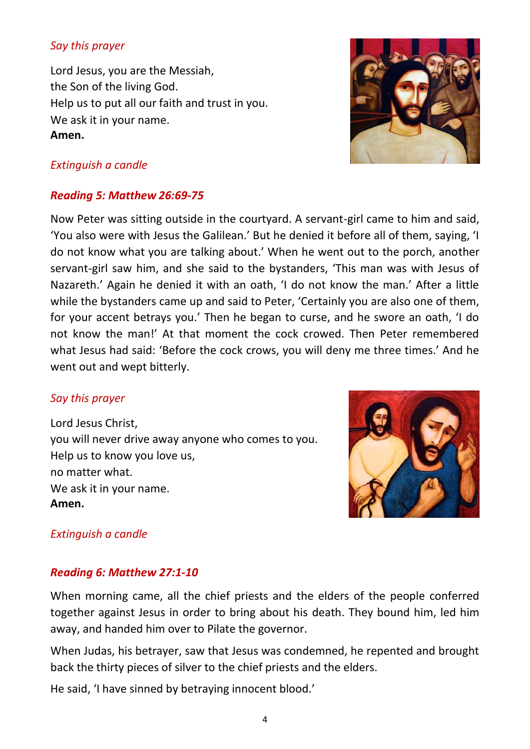## *Say this prayer*

Lord Jesus, you are the Messiah, the Son of the living God. Help us to put all our faith and trust in you. We ask it in your name. **Amen.**



# *Extinguish a candle*

## *Reading 5: Matthew 26:69-75*

Now Peter was sitting outside in the courtyard. A servant-girl came to him and said, 'You also were with Jesus the Galilean.' But he denied it before all of them, saying, 'I do not know what you are talking about.' When he went out to the porch, another servant-girl saw him, and she said to the bystanders, 'This man was with Jesus of Nazareth.' Again he denied it with an oath, 'I do not know the man.' After a little while the bystanders came up and said to Peter, 'Certainly you are also one of them, for your accent betrays you.' Then he began to curse, and he swore an oath, 'I do not know the man!' At that moment the cock crowed. Then Peter remembered what Jesus had said: 'Before the cock crows, you will deny me three times.' And he went out and wept bitterly.

## *Say this prayer*

Lord Jesus Christ, you will never drive away anyone who comes to you. Help us to know you love us, no matter what. We ask it in your name. **Amen.**



# *Extinguish a candle*

## *Reading 6: Matthew 27:1-10*

When morning came, all the chief priests and the elders of the people conferred together against Jesus in order to bring about his death. They bound him, led him away, and handed him over to Pilate the governor.

When Judas, his betrayer, saw that Jesus was condemned, he repented and brought back the thirty pieces of silver to the chief priests and the elders.

He said, 'I have sinned by betraying innocent blood.'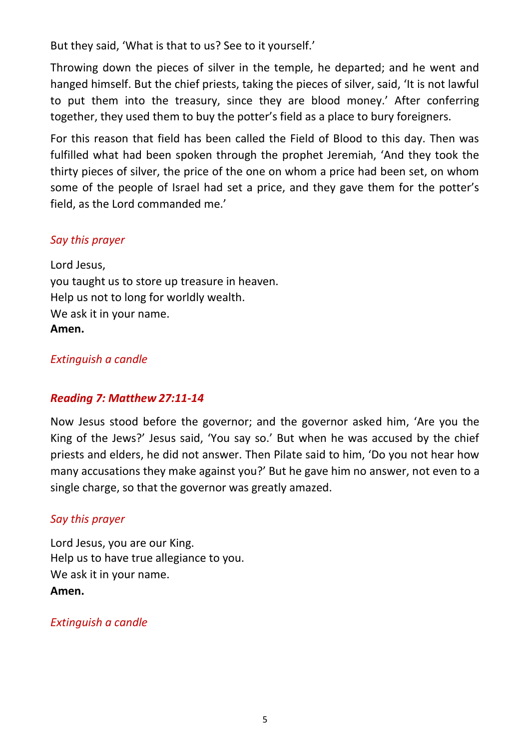But they said, 'What is that to us? See to it yourself.'

Throwing down the pieces of silver in the temple, he departed; and he went and hanged himself. But the chief priests, taking the pieces of silver, said, 'It is not lawful to put them into the treasury, since they are blood money.' After conferring together, they used them to buy the potter's field as a place to bury foreigners.

For this reason that field has been called the Field of Blood to this day. Then was fulfilled what had been spoken through the prophet Jeremiah, 'And they took the thirty pieces of silver, the price of the one on whom a price had been set, on whom some of the people of Israel had set a price, and they gave them for the potter's field, as the Lord commanded me.'

## *Say this prayer*

Lord Jesus, you taught us to store up treasure in heaven. Help us not to long for worldly wealth. We ask it in your name. **Amen.**

## *Extinguish a candle*

## *Reading 7: Matthew 27:11-14*

Now Jesus stood before the governor; and the governor asked him, 'Are you the King of the Jews?' Jesus said, 'You say so.' But when he was accused by the chief priests and elders, he did not answer. Then Pilate said to him, 'Do you not hear how many accusations they make against you?' But he gave him no answer, not even to a single charge, so that the governor was greatly amazed.

## *Say this prayer*

Lord Jesus, you are our King. Help us to have true allegiance to you. We ask it in your name. **Amen.**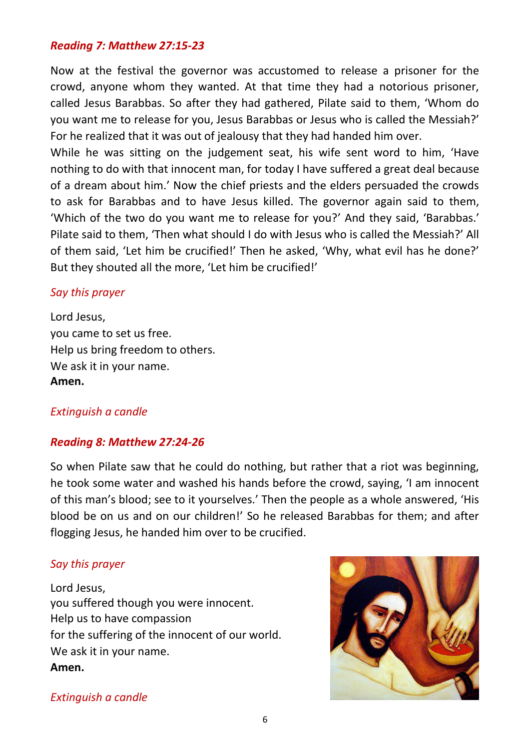## *Reading 7: Matthew 27:15-23*

Now at the festival the governor was accustomed to release a prisoner for the crowd, anyone whom they wanted. At that time they had a notorious prisoner, called Jesus Barabbas. So after they had gathered, Pilate said to them, 'Whom do you want me to release for you, Jesus Barabbas or Jesus who is called the Messiah?' For he realized that it was out of jealousy that they had handed him over.

While he was sitting on the judgement seat, his wife sent word to him, 'Have nothing to do with that innocent man, for today I have suffered a great deal because of a dream about him.' Now the chief priests and the elders persuaded the crowds to ask for Barabbas and to have Jesus killed. The governor again said to them, 'Which of the two do you want me to release for you?' And they said, 'Barabbas.' Pilate said to them, 'Then what should I do with Jesus who is called the Messiah?' All of them said, 'Let him be crucified!' Then he asked, 'Why, what evil has he done?' But they shouted all the more, 'Let him be crucified!'

#### *Say this prayer*

Lord Jesus, you came to set us free. Help us bring freedom to others. We ask it in your name. **Amen.**

#### *Extinguish a candle*

#### *Reading 8: Matthew 27:24-26*

So when Pilate saw that he could do nothing, but rather that a riot was beginning, he took some water and washed his hands before the crowd, saying, 'I am innocent of this man's blood; see to it yourselves.' Then the people as a whole answered, 'His blood be on us and on our children!' So he released Barabbas for them; and after flogging Jesus, he handed him over to be crucified.

#### *Say this prayer*

Lord Jesus, you suffered though you were innocent. Help us to have compassion for the suffering of the innocent of our world. We ask it in your name. **Amen.**

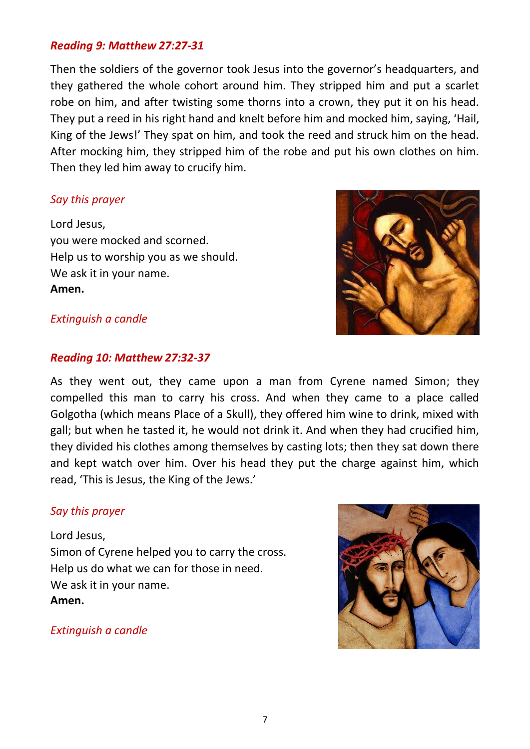## *Reading 9: Matthew 27:27-31*

Then the soldiers of the governor took Jesus into the governor's headquarters, and they gathered the whole cohort around him. They stripped him and put a scarlet robe on him, and after twisting some thorns into a crown, they put it on his head. They put a reed in his right hand and knelt before him and mocked him, saying, 'Hail, King of the Jews!' They spat on him, and took the reed and struck him on the head. After mocking him, they stripped him of the robe and put his own clothes on him. Then they led him away to crucify him.

## *Say this prayer*

Lord Jesus, you were mocked and scorned. Help us to worship you as we should. We ask it in your name. **Amen.**



#### *Extinguish a candle*

#### *Reading 10: Matthew 27:32-37*

As they went out, they came upon a man from Cyrene named Simon; they compelled this man to carry his cross. And when they came to a place called Golgotha (which means Place of a Skull), they offered him wine to drink, mixed with gall; but when he tasted it, he would not drink it. And when they had crucified him, they divided his clothes among themselves by casting lots; then they sat down there and kept watch over him. Over his head they put the charge against him, which read, 'This is Jesus, the King of the Jews.'

#### *Say this prayer*

Lord Jesus, Simon of Cyrene helped you to carry the cross. Help us do what we can for those in need. We ask it in your name. **Amen.**

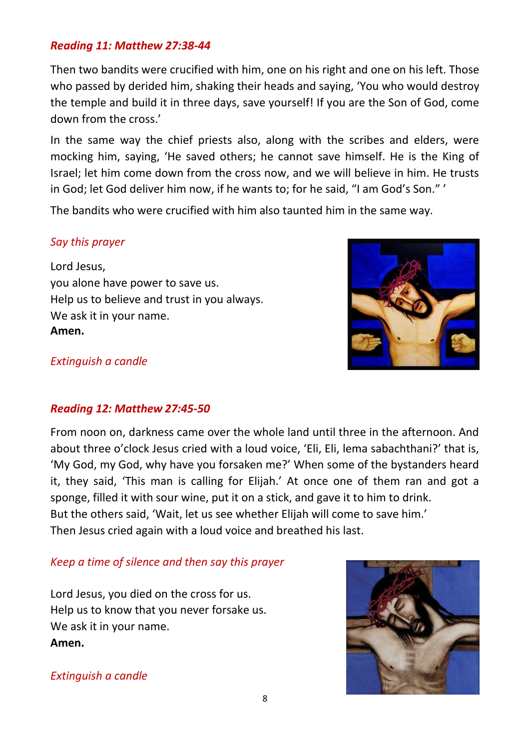## *Reading 11: Matthew 27:38-44*

Then two bandits were crucified with him, one on his right and one on his left. Those who passed by derided him, shaking their heads and saying, 'You who would destroy the temple and build it in three days, save yourself! If you are the Son of God, come down from the cross.'

In the same way the chief priests also, along with the scribes and elders, were mocking him, saying, 'He saved others; he cannot save himself. He is the King of Israel; let him come down from the cross now, and we will believe in him. He trusts in God; let God deliver him now, if he wants to; for he said, "I am God's Son." '

The bandits who were crucified with him also taunted him in the same way.

## *Say this prayer*

Lord Jesus, you alone have power to save us. Help us to believe and trust in you always. We ask it in your name. **Amen.**



#### *Extinguish a candle*

#### *Reading 12: Matthew 27:45-50*

From noon on, darkness came over the whole land until three in the afternoon. And about three o'clock Jesus cried with a loud voice, 'Eli, Eli, lema sabachthani?' that is, 'My God, my God, why have you forsaken me?' When some of the bystanders heard it, they said, 'This man is calling for Elijah.' At once one of them ran and got a sponge, filled it with sour wine, put it on a stick, and gave it to him to drink. But the others said, 'Wait, let us see whether Elijah will come to save him.' Then Jesus cried again with a loud voice and breathed his last.

#### *Keep a time of silence and then say this prayer*

Lord Jesus, you died on the cross for us. Help us to know that you never forsake us. We ask it in your name. **Amen.**